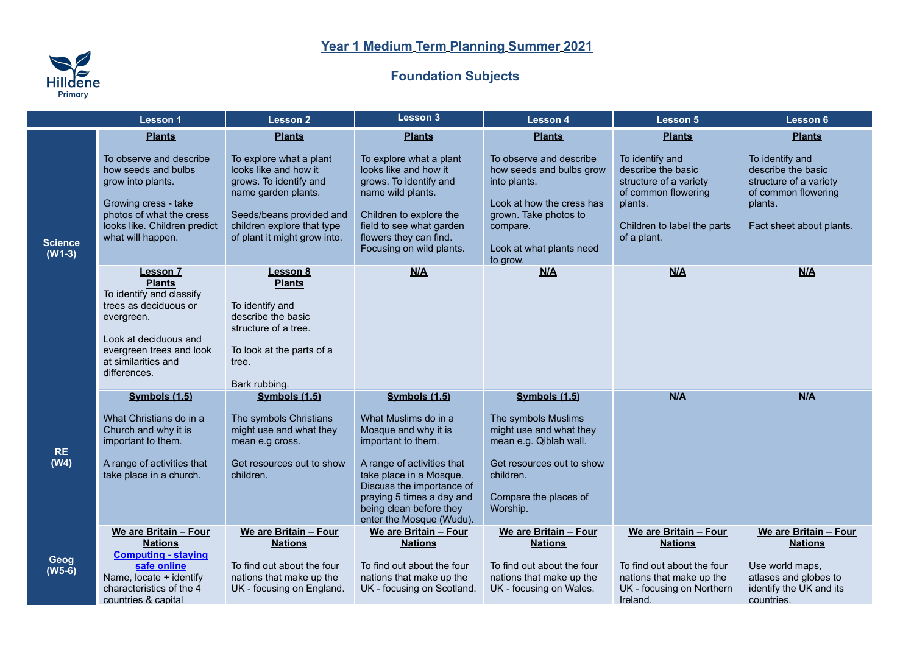## **Year 1 Medium Term Planning Summer 2021**



## **Foundation Subjects**

|                            | <b>Lesson 1</b>                                                                                                                                                                                 | <b>Lesson 2</b>                                                                                                                                                                             | Lesson 3                                                                                                                                                                                                                                                      | <b>Lesson 4</b>                                                                                                                                                               | <b>Lesson 5</b>                                                                                                                                 | Lesson 6                                                                                                                      |
|----------------------------|-------------------------------------------------------------------------------------------------------------------------------------------------------------------------------------------------|---------------------------------------------------------------------------------------------------------------------------------------------------------------------------------------------|---------------------------------------------------------------------------------------------------------------------------------------------------------------------------------------------------------------------------------------------------------------|-------------------------------------------------------------------------------------------------------------------------------------------------------------------------------|-------------------------------------------------------------------------------------------------------------------------------------------------|-------------------------------------------------------------------------------------------------------------------------------|
|                            | <b>Plants</b>                                                                                                                                                                                   | <b>Plants</b>                                                                                                                                                                               | <b>Plants</b>                                                                                                                                                                                                                                                 | <b>Plants</b>                                                                                                                                                                 | <b>Plants</b>                                                                                                                                   | <b>Plants</b>                                                                                                                 |
| <b>Science</b><br>$(W1-3)$ | To observe and describe<br>how seeds and bulbs<br>grow into plants.<br>Growing cress - take<br>photos of what the cress<br>looks like. Children predict<br>what will happen.                    | To explore what a plant<br>looks like and how it<br>grows. To identify and<br>name garden plants.<br>Seeds/beans provided and<br>children explore that type<br>of plant it might grow into. | To explore what a plant<br>looks like and how it<br>grows. To identify and<br>name wild plants.<br>Children to explore the<br>field to see what garden<br>flowers they can find.<br>Focusing on wild plants.                                                  | To observe and describe<br>how seeds and bulbs grow<br>into plants.<br>Look at how the cress has<br>grown. Take photos to<br>compare.<br>Look at what plants need<br>to grow. | To identify and<br>describe the basic<br>structure of a variety<br>of common flowering<br>plants.<br>Children to label the parts<br>of a plant. | To identify and<br>describe the basic<br>structure of a variety<br>of common flowering<br>plants.<br>Fact sheet about plants. |
|                            | <b>Lesson 7</b><br><b>Plants</b><br>To identify and classify<br>trees as deciduous or<br>evergreen.<br>Look at deciduous and<br>evergreen trees and look<br>at similarities and<br>differences. | Lesson 8<br><b>Plants</b><br>To identify and<br>describe the basic<br>structure of a tree.<br>To look at the parts of a<br>tree.<br>Bark rubbing.                                           | N/A                                                                                                                                                                                                                                                           | M/A                                                                                                                                                                           | M/A                                                                                                                                             | M/A                                                                                                                           |
| <b>RE</b><br>(W4)          | Symbols (1.5)<br>What Christians do in a<br>Church and why it is<br>important to them.<br>A range of activities that<br>take place in a church.                                                 | Symbols (1.5)<br>The symbols Christians<br>might use and what they<br>mean e.g cross.<br>Get resources out to show<br>children.                                                             | Symbols (1.5)<br>What Muslims do in a<br>Mosque and why it is<br>important to them.<br>A range of activities that<br>take place in a Mosque.<br>Discuss the importance of<br>praying 5 times a day and<br>being clean before they<br>enter the Mosque (Wudu). | Symbols (1.5)<br>The symbols Muslims<br>might use and what they<br>mean e.g. Qiblah wall.<br>Get resources out to show<br>children.<br>Compare the places of<br>Worship.      | N/A                                                                                                                                             | N/A                                                                                                                           |
| Geog<br>$(W5-6)$           | We are Britain - Four<br><b>Nations</b><br><b>Computing - staying</b><br>safe online<br>Name, locate + identify<br>characteristics of the 4<br>countries & capital                              | We are Britain - Four<br><b>Nations</b><br>To find out about the four<br>nations that make up the<br>UK - focusing on England.                                                              | We are Britain - Four<br><b>Nations</b><br>To find out about the four<br>nations that make up the<br>UK - focusing on Scotland.                                                                                                                               | We are Britain - Four<br><b>Nations</b><br>To find out about the four<br>nations that make up the<br>UK - focusing on Wales.                                                  | We are Britain - Four<br><b>Nations</b><br>To find out about the four<br>nations that make up the<br>UK - focusing on Northern<br>Ireland.      | We are Britain - Four<br><b>Nations</b><br>Use world maps,<br>atlases and globes to<br>identify the UK and its<br>countries.  |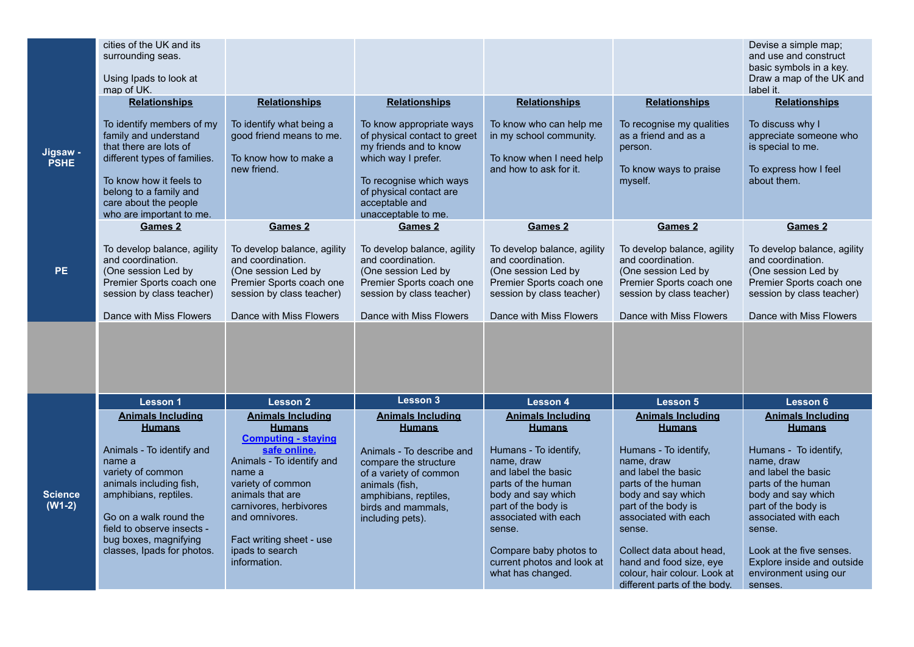|                            | cities of the UK and its<br>surrounding seas.                                                                                                                                                                                                                            |                                                                                                                                                                                                                                                                                    |                                                                                                                                                                                                                |                                                                                                                                                                                                                                                                                           |                                                                                                                                                                                                                                                                                                                                     | Devise a simple map;<br>and use and construct<br>basic symbols in a key.                                                                                                                                                                                                                                   |
|----------------------------|--------------------------------------------------------------------------------------------------------------------------------------------------------------------------------------------------------------------------------------------------------------------------|------------------------------------------------------------------------------------------------------------------------------------------------------------------------------------------------------------------------------------------------------------------------------------|----------------------------------------------------------------------------------------------------------------------------------------------------------------------------------------------------------------|-------------------------------------------------------------------------------------------------------------------------------------------------------------------------------------------------------------------------------------------------------------------------------------------|-------------------------------------------------------------------------------------------------------------------------------------------------------------------------------------------------------------------------------------------------------------------------------------------------------------------------------------|------------------------------------------------------------------------------------------------------------------------------------------------------------------------------------------------------------------------------------------------------------------------------------------------------------|
|                            | Using Ipads to look at<br>map of UK.                                                                                                                                                                                                                                     |                                                                                                                                                                                                                                                                                    |                                                                                                                                                                                                                |                                                                                                                                                                                                                                                                                           |                                                                                                                                                                                                                                                                                                                                     | Draw a map of the UK and<br>label it.                                                                                                                                                                                                                                                                      |
|                            | <b>Relationships</b>                                                                                                                                                                                                                                                     | <b>Relationships</b>                                                                                                                                                                                                                                                               | <b>Relationships</b>                                                                                                                                                                                           | <b>Relationships</b>                                                                                                                                                                                                                                                                      | <b>Relationships</b>                                                                                                                                                                                                                                                                                                                | <b>Relationships</b>                                                                                                                                                                                                                                                                                       |
| Jigsaw -<br><b>PSHE</b>    | To identify members of my<br>family and understand<br>that there are lots of<br>different types of families.<br>To know how it feels to<br>belong to a family and<br>care about the people<br>who are important to me.                                                   | To identify what being a<br>good friend means to me.<br>To know how to make a<br>new friend.                                                                                                                                                                                       | To know appropriate ways<br>of physical contact to greet<br>my friends and to know<br>which way I prefer.<br>To recognise which ways<br>of physical contact are<br>acceptable and<br>unacceptable to me.       | To know who can help me<br>in my school community.<br>To know when I need help<br>and how to ask for it.                                                                                                                                                                                  | To recognise my qualities<br>as a friend and as a<br>person.<br>To know ways to praise<br>myself.                                                                                                                                                                                                                                   | To discuss why I<br>appreciate someone who<br>is special to me.<br>To express how I feel<br>about them.                                                                                                                                                                                                    |
|                            | Games 2                                                                                                                                                                                                                                                                  | Games 2                                                                                                                                                                                                                                                                            | Games 2                                                                                                                                                                                                        | Games 2                                                                                                                                                                                                                                                                                   | Games 2                                                                                                                                                                                                                                                                                                                             | Games 2                                                                                                                                                                                                                                                                                                    |
| PE                         | To develop balance, agility<br>and coordination.<br>(One session Led by<br>Premier Sports coach one<br>session by class teacher)<br>Dance with Miss Flowers                                                                                                              | To develop balance, agility<br>and coordination.<br>(One session Led by<br>Premier Sports coach one<br>session by class teacher)<br>Dance with Miss Flowers                                                                                                                        | To develop balance, agility<br>and coordination.<br>(One session Led by<br>Premier Sports coach one<br>session by class teacher)<br>Dance with Miss Flowers                                                    | To develop balance, agility<br>and coordination.<br>(One session Led by<br>Premier Sports coach one<br>session by class teacher)<br>Dance with Miss Flowers                                                                                                                               | To develop balance, agility<br>and coordination.<br>(One session Led by<br>Premier Sports coach one<br>session by class teacher)<br>Dance with Miss Flowers                                                                                                                                                                         | To develop balance, agility<br>and coordination.<br>(One session Led by<br>Premier Sports coach one<br>session by class teacher)<br>Dance with Miss Flowers                                                                                                                                                |
|                            |                                                                                                                                                                                                                                                                          |                                                                                                                                                                                                                                                                                    |                                                                                                                                                                                                                |                                                                                                                                                                                                                                                                                           |                                                                                                                                                                                                                                                                                                                                     |                                                                                                                                                                                                                                                                                                            |
|                            | Lesson 1                                                                                                                                                                                                                                                                 | <b>Lesson 2</b>                                                                                                                                                                                                                                                                    | Lesson 3                                                                                                                                                                                                       | <b>Lesson 4</b>                                                                                                                                                                                                                                                                           | <b>Lesson 5</b>                                                                                                                                                                                                                                                                                                                     | Lesson 6                                                                                                                                                                                                                                                                                                   |
| <b>Science</b><br>$(W1-2)$ | <b>Animals Including</b><br><b>Humans</b><br>Animals - To identify and<br>name a<br>variety of common<br>animals including fish,<br>amphibians, reptiles.<br>Go on a walk round the<br>field to observe insects -<br>bug boxes, magnifying<br>classes, Ipads for photos. | <b>Animals Including</b><br><b>Humans</b><br><b>Computing - staying</b><br>safe online.<br>Animals - To identify and<br>name a<br>variety of common<br>animals that are<br>carnivores, herbivores<br>and omnivores.<br>Fact writing sheet - use<br>ipads to search<br>information. | <b>Animals Including</b><br><b>Humans</b><br>Animals - To describe and<br>compare the structure<br>of a variety of common<br>animals (fish,<br>amphibians, reptiles,<br>birds and mammals,<br>including pets). | <b>Animals Including</b><br><b>Humans</b><br>Humans - To identify,<br>name, draw<br>and label the basic<br>parts of the human<br>body and say which<br>part of the body is<br>associated with each<br>sense.<br>Compare baby photos to<br>current photos and look at<br>what has changed. | <b>Animals Including</b><br><b>Humans</b><br>Humans - To identify,<br>name, draw<br>and label the basic<br>parts of the human<br>body and say which<br>part of the body is<br>associated with each<br>sense.<br>Collect data about head.<br>hand and food size, eye<br>colour, hair colour. Look at<br>different parts of the body. | <b>Animals Including</b><br><b>Humans</b><br>Humans - To identify,<br>name, draw<br>and label the basic<br>parts of the human<br>body and say which<br>part of the body is<br>associated with each<br>sense.<br>Look at the five senses.<br>Explore inside and outside<br>environment using our<br>senses. |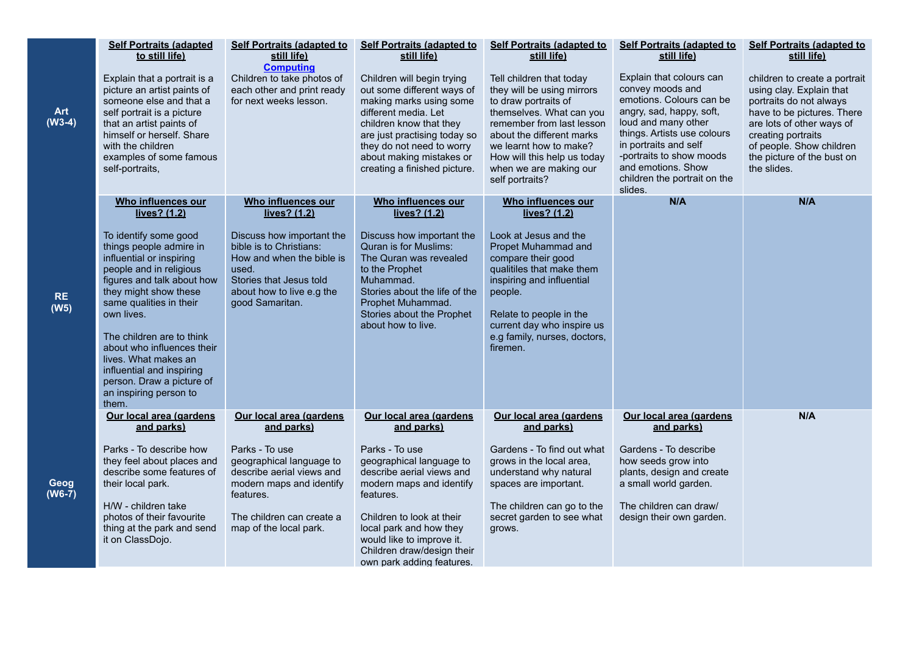|                        | <b>Self Portraits (adapted</b>                                                                                                                                                                                                                                                                                                                                                                          | <b>Self Portraits (adapted to</b>                                                                                                                                                     | <b>Self Portraits (adapted to</b>                                                                                                                                                                                                                                              | Self Portraits (adapted to                                                                                                                                                                                                                                                                | <b>Self Portraits (adapted to</b>                                                                                                                                                                                                                                                               | <b>Self Portraits (adapted to</b>                                                                                                                                                                                                                             |
|------------------------|---------------------------------------------------------------------------------------------------------------------------------------------------------------------------------------------------------------------------------------------------------------------------------------------------------------------------------------------------------------------------------------------------------|---------------------------------------------------------------------------------------------------------------------------------------------------------------------------------------|--------------------------------------------------------------------------------------------------------------------------------------------------------------------------------------------------------------------------------------------------------------------------------|-------------------------------------------------------------------------------------------------------------------------------------------------------------------------------------------------------------------------------------------------------------------------------------------|-------------------------------------------------------------------------------------------------------------------------------------------------------------------------------------------------------------------------------------------------------------------------------------------------|---------------------------------------------------------------------------------------------------------------------------------------------------------------------------------------------------------------------------------------------------------------|
| <b>Art</b><br>$(W3-4)$ | to still life)<br>Explain that a portrait is a<br>picture an artist paints of<br>someone else and that a<br>self portrait is a picture<br>that an artist paints of<br>himself or herself. Share<br>with the children<br>examples of some famous<br>self-portraits,                                                                                                                                      | still life)<br><b>Computing</b><br>Children to take photos of<br>each other and print ready<br>for next weeks lesson.                                                                 | still life)<br>Children will begin trying<br>out some different ways of<br>making marks using some<br>different media. Let<br>children know that they<br>are just practising today so<br>they do not need to worry<br>about making mistakes or<br>creating a finished picture. | still life)<br>Tell children that today<br>they will be using mirrors<br>to draw portraits of<br>themselves. What can you<br>remember from last lesson<br>about the different marks<br>we learnt how to make?<br>How will this help us today<br>when we are making our<br>self portraits? | still life)<br>Explain that colours can<br>convey moods and<br>emotions. Colours can be<br>angry, sad, happy, soft,<br>loud and many other<br>things. Artists use colours<br>in portraits and self<br>-portraits to show moods<br>and emotions. Show<br>children the portrait on the<br>slides. | still life)<br>children to create a portrait<br>using clay. Explain that<br>portraits do not always<br>have to be pictures. There<br>are lots of other ways of<br>creating portraits<br>of people. Show children<br>the picture of the bust on<br>the slides. |
|                        | Who influences our                                                                                                                                                                                                                                                                                                                                                                                      | Who influences our                                                                                                                                                                    | Who influences our                                                                                                                                                                                                                                                             | Who influences our                                                                                                                                                                                                                                                                        | N/A                                                                                                                                                                                                                                                                                             | N/A                                                                                                                                                                                                                                                           |
| <b>RE</b><br>(W5)      | lives? (1.2)<br>To identify some good<br>things people admire in<br>influential or inspiring<br>people and in religious<br>figures and talk about how<br>they might show these<br>same qualities in their<br>own lives.<br>The children are to think<br>about who influences their<br>lives. What makes an<br>influential and inspiring<br>person. Draw a picture of<br>an inspiring person to<br>them. | lives? (1.2)<br>Discuss how important the<br>bible is to Christians:<br>How and when the bible is<br>used.<br>Stories that Jesus told<br>about how to live e.g the<br>good Samaritan. | lives? (1.2)<br>Discuss how important the<br>Quran is for Muslims:<br>The Quran was revealed<br>to the Prophet<br>Muhammad.<br>Stories about the life of the<br>Prophet Muhammad.<br>Stories about the Prophet<br>about how to live.                                           | lives? (1.2)<br>Look at Jesus and the<br>Propet Muhammad and<br>compare their good<br>qualitiles that make them<br>inspiring and influential<br>people.<br>Relate to people in the<br>current day who inspire us<br>e.g family, nurses, doctors,<br>firemen.                              |                                                                                                                                                                                                                                                                                                 |                                                                                                                                                                                                                                                               |
|                        | Our local area (gardens<br>and parks)                                                                                                                                                                                                                                                                                                                                                                   | Our local area (gardens<br>and parks)                                                                                                                                                 | Our local area (gardens<br>and parks)                                                                                                                                                                                                                                          | Our local area (gardens<br>and parks)                                                                                                                                                                                                                                                     | Our local area (gardens<br>and parks)                                                                                                                                                                                                                                                           | N/A                                                                                                                                                                                                                                                           |
| Geog<br>$(W6-7)$       | Parks - To describe how<br>they feel about places and<br>describe some features of<br>their local park.<br>H/W - children take<br>photos of their favourite<br>thing at the park and send<br>it on ClassDojo.                                                                                                                                                                                           | Parks - To use<br>geographical language to<br>describe aerial views and<br>modern maps and identify<br>features.<br>The children can create a<br>map of the local park.               | Parks - To use<br>geographical language to<br>describe aerial views and<br>modern maps and identify<br>features.<br>Children to look at their<br>local park and how they<br>would like to improve it.<br>Children draw/design their<br>own park adding features.               | Gardens - To find out what<br>grows in the local area,<br>understand why natural<br>spaces are important.<br>The children can go to the<br>secret garden to see what<br>grows.                                                                                                            | Gardens - To describe<br>how seeds grow into<br>plants, design and create<br>a small world garden.<br>The children can draw/<br>design their own garden.                                                                                                                                        |                                                                                                                                                                                                                                                               |